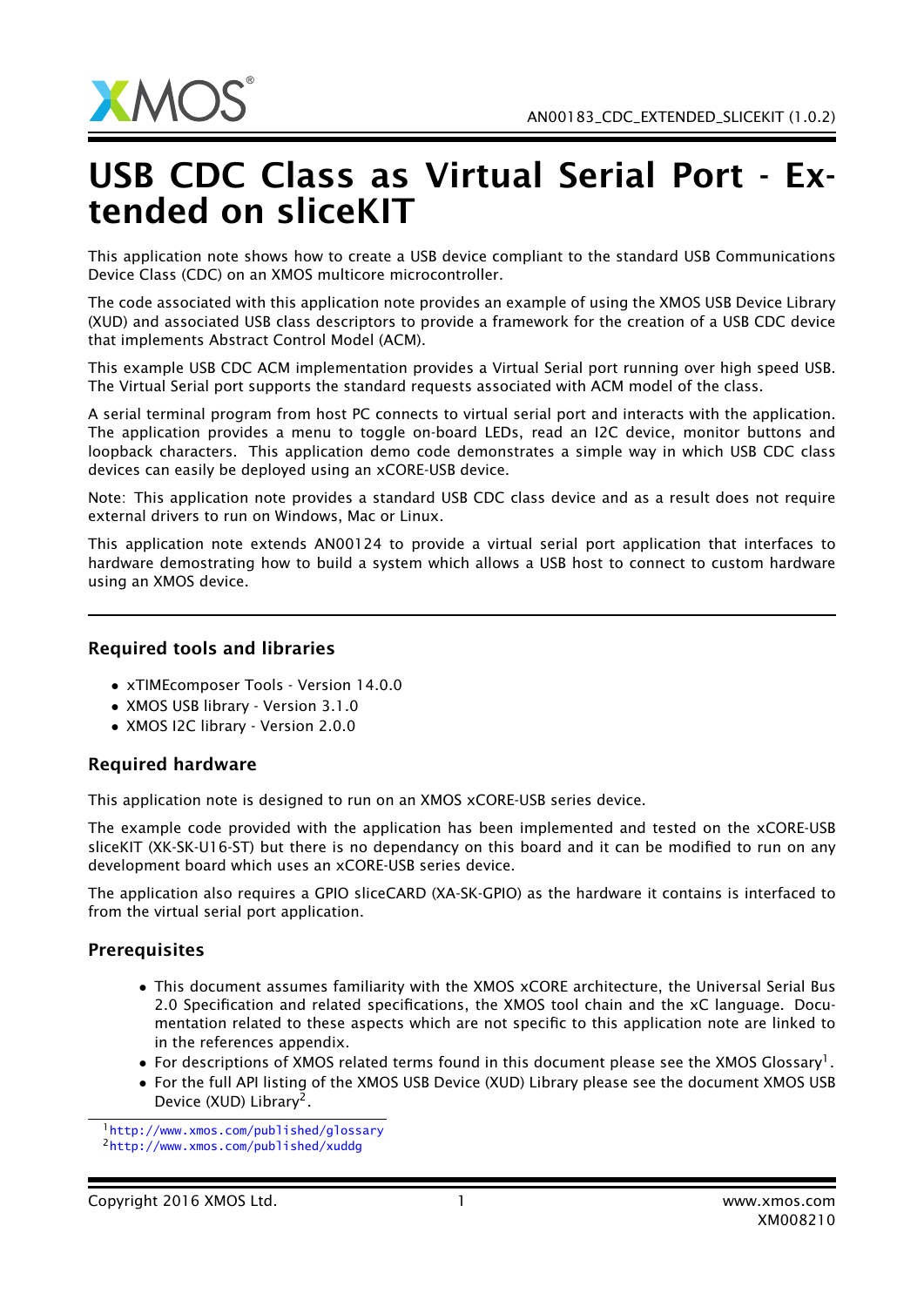

## USB CDC Class as Virtual Serial Port - Extended on sliceKIT

This application note shows how to create a USB device compliant to the standard USB Communications Device Class (CDC) on an XMOS multicore microcontroller.

The code associated with this application note provides an example of using the XMOS USB Device Library (XUD) and associated USB class descriptors to provide a framework for the creation of a USB CDC device that implements Abstract Control Model (ACM).

This example USB CDC ACM implementation provides a Virtual Serial port running over high speed USB. The Virtual Serial port supports the standard requests associated with ACM model of the class.

A serial terminal program from host PC connects to virtual serial port and interacts with the application. The application provides a menu to toggle on-board LEDs, read an I2C device, monitor buttons and loopback characters. This application demo code demonstrates a simple way in which USB CDC class devices can easily be deployed using an xCORE-USB device.

Note: This application note provides a standard USB CDC class device and as a result does not require external drivers to run on Windows, Mac or Linux.

This application note extends AN00124 to provide a virtual serial port application that interfaces to hardware demostrating how to build a system which allows a USB host to connect to custom hardware using an XMOS device.

## Required tools and libraries

- xTIMEcomposer Tools Version 14.0.0
- XMOS USB library Version 3.1.0
- XMOS I2C library Version 2.0.0

## Required hardware

This application note is designed to run on an XMOS xCORE-USB series device.

The example code provided with the application has been implemented and tested on the xCORE-USB sliceKIT (XK-SK-U16-ST) but there is no dependancy on this board and it can be modified to run on any development board which uses an xCORE-USB series device.

The application also requires a GPIO sliceCARD (XA-SK-GPIO) as the hardware it contains is interfaced to from the virtual serial port application.

## **Prerequisites**

- This document assumes familiarity with the XMOS xCORE architecture, the Universal Serial Bus 2.0 Specification and related specifications, the XMOS tool chain and the xC language. Documentation related to these aspects which are not specific to this application note are linked to in the references appendix.
- $\bullet$  For descriptions of XMOS related terms found in this document please see the XMOS Glossary<sup>1</sup>.
- For the full API listing of the XMOS USB Device (XUD) Library please see the document XMOS USB Device (XUD) Library<sup>2</sup>.

<sup>1</sup><http://www.xmos.com/published/glossary>

<sup>2</sup><http://www.xmos.com/published/xuddg>